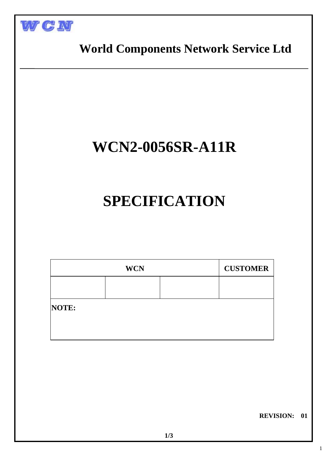



## **WCN2-0056SR-A11R**

## **SPECIFICATION**

|       | <b>WCN</b> | <b>CUSTOMER</b> |  |  |  |
|-------|------------|-----------------|--|--|--|
|       |            |                 |  |  |  |
| NOTE: |            |                 |  |  |  |
|       |            |                 |  |  |  |

 **REVISION: 01**

1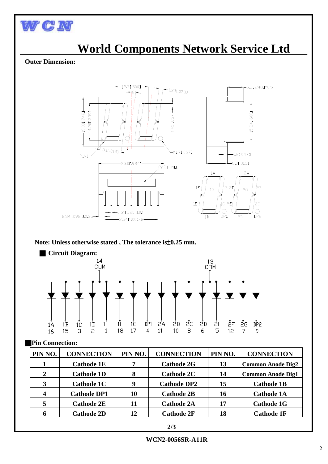

I

# **World Components Network Service Ltd** Outer Dimension: